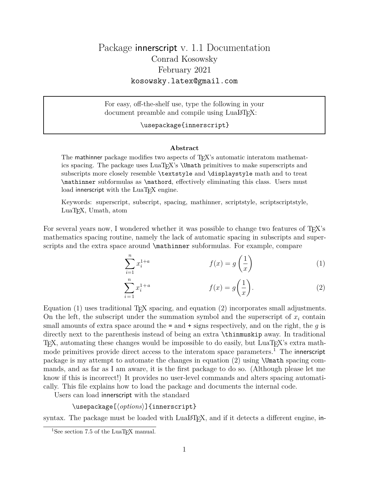For easy, off-the-shelf use, type the following in your document preamble and compile using LuaLAT<sub>EX</sub>:

### \usepackage{innerscript}

#### **Abstract**

The mathinner package modifies two aspects of T<sub>EX</sub>'s automatic interatom mathematics spacing. The package uses  $\text{Lu}_X$ 's  $\text{Umath}$  primitives to make superscripts and subscripts more closely resemble \textstyle and \displaystyle math and to treat \mathinner subformulas as \mathord, effectively eliminating this class. Users must load innerscript with the  $LuaT<sub>F</sub>X$  engine.

Keywords: superscript, subscript, spacing, mathinner, scriptstyle, scriptscriptstyle, LuaTEX, Umath, atom

For several years now, I wondered whether it was possible to change two features of T<sub>E</sub>X's mathematics spacing routine, namely the lack of automatic spacing in subscripts and superscripts and the extra space around \mathinner subformulas. For example, compare

$$
\sum_{i=1}^{n} x_i^{1+a} \qquad f(x) = g\left(\frac{1}{x}\right) \tag{1}
$$

$$
\sum_{i=1}^{n} x_i^{1+a} \qquad f(x) = g\left(\frac{1}{x}\right). \tag{2}
$$

Equation (1) uses traditional T<sub>EX</sub> spacing, and equation (2) incorporates small adjustments. On the left, the subscript under the summation symbol and the superscript of  $x_i$  contain small amounts of extra space around the  $=$  and  $+$  signs respectively, and on the right, the  $q$  is directly next to the parenthesis instead of being an extra \thinmuskip away. In traditional TEX, automating these changes would be impossible to do easily, but LuaTEX's extra mathmode primitives provide direct access to the interatom space parameters.<sup>1</sup> The innerscript package is my attempt to automate the changes in equation  $(2)$  using  $\Upsilon$   $\mathbb{R}$  in equation  $\mathbb{R}$ . mands, and as far as I am aware, it is the first package to do so. (Although please let me know if this is incorrect!) It provides no user-level commands and alters spacing automatically. This file explains how to load the package and documents the internal code.

Users can load innerscript with the standard

\usepackage[ $\langle options\rangle$ ]{innerscript}

syntax. The package must be loaded with  $\text{LualFf}X$ , and if it detects a different engine, in-

<sup>&</sup>lt;sup>1</sup>See section 7.5 of the LuaT<sub>E</sub>X manual.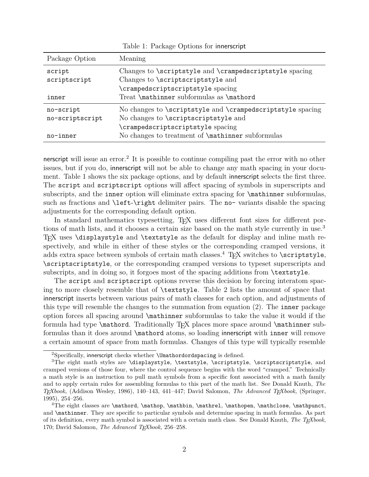| Package Option  | Meaning                                                    |
|-----------------|------------------------------------------------------------|
| script          | Changes to \scriptstyle and \crampedscriptstyle spacing    |
| scriptscript    | Changes to \scriptscriptstyle and                          |
|                 | \crampedscriptscriptstyle spacing                          |
| inner           | Treat \mathinner subformulas as \mathord                   |
| no-script       | No changes to \scriptstyle and \crampedscriptstyle spacing |
| no-scriptscript | No changes to \scriptscriptstyle and                       |
|                 | crampedscriptscriptstyle spacing                           |
| no-inner        | No changes to treatment of <b>\mathinner</b> subformulas   |

Table 1: Package Options for innerscript

nerscript will issue an error.<sup>2</sup> It is possible to continue compiling past the error with no other issues, but if you do, innerscript will not be able to change any math spacing in your document. Table 1 shows the six package options, and by default innerscript selects the first three. The script and scriptscript options will affect spacing of symbols in superscripts and subscripts, and the inner option will eliminate extra spacing for  $\mathcal X$  athinner subformulas, such as fractions and \left-\right delimiter pairs. The no- variants disable the spacing adjustments for the corresponding default option.

In standard mathematics typesetting, T<sub>EX</sub> uses different font sizes for different portions of math lists, and it chooses a certain size based on the math style currently in use.<sup>3</sup> TEX uses \displaystyle and \textstyle as the default for display and inline math respectively, and while in either of these styles or the corresponding cramped versions, it adds extra space between symbols of certain math classes.<sup>4</sup> T<sub>E</sub>X switches to  $\scriptstyle\setminus$  scriptstyle, \scriptscriptstyle, or the corresponding cramped versions to typeset superscripts and subscripts, and in doing so, it forgoes most of the spacing additions from \textstyle.

The script and scriptscript options reverse this decision by forcing interatom spacing to more closely resemble that of \textstyle. Table 2 lists the amount of space that innerscript inserts between various pairs of math classes for each option, and adjustments of this type will resemble the changes to the summation from equation (2). The inner package option forces all spacing around \mathinner subformulas to take the value it would if the formula had type **\mathord**. Traditionally T<sub>E</sub>X places more space around **\mathinner** subformulas than it does around \mathord atoms, so loading innerscript with inner will remove a certain amount of space from math formulas. Changes of this type will typically resemble

<sup>&</sup>lt;sup>2</sup>Specifically, innerscript checks whether **\Umathordordspacing** is defined.

<sup>&</sup>lt;sup>3</sup>The eight math styles are \displaystyle, \textstyle, \scriptstyle, \scriptscriptstyle, and cramped versions of those four, where the control sequence begins with the word "cramped." Technically a math style is an instruction to pull math symbols from a specific font associated with a math family and to apply certain rules for assembling formulas to this part of the math list. See Donald Knuth, *The TEXbook,* (Addison Wesley, 1986), 140–143, 441–447; David Salomon, *The Advanced TEXbook,* (Springer, 1995), 254–256.

<sup>&</sup>lt;sup>4</sup>The eight classes are  $\mathcal{L} \mathbb{L} \mathbb{L} \mathbb{L}$ ,  $\mathcal{L} \mathbb{L} \mathbb{L} \mathbb{L}$ and \mathinner. They are specific to particular symbols and determine spacing in math formulas. As part of its definition, every math symbol is associated with a certain math class. See Donald Knuth, *The TEXbook,* 170; David Salomon, *The Advanced TEXbook,* 256–258.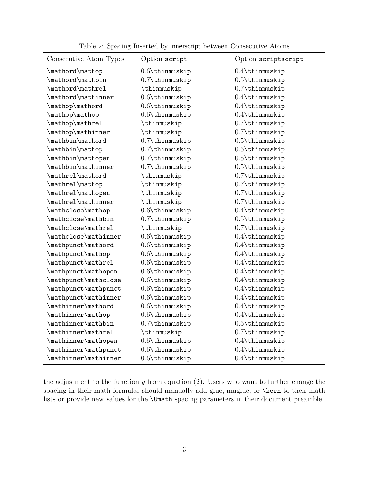| Consecutive Atom Types | Option script     | Option scriptscript    |
|------------------------|-------------------|------------------------|
| \mathord\mathop        | $0.6$ \thinmuskip | $0.4$ \thinmuskip      |
| \mathord\mathbin       | 0.7\thinmuskip    | $0.5$ \thinmuskip      |
| \mathord\mathrel       | \thinmuskip       | $0.7$ \thinmuskip      |
| \mathord\mathinner     | $0.6$ \thinmuskip | $0.4$ \thinmuskip      |
| \mathop\mathord        | $0.6$ \thinmuskip | $0.4$ \thinmuskip      |
| \mathop\mathop         | $0.6$ \thinmuskip | $0.4$ \thinmuskip      |
| \mathop\mathrel        | \thinmuskip       | $0.7$ \thinmuskip      |
| \mathop\mathinner      | \thinmuskip       | $0.7$ \thinmuskip      |
| \mathbin\mathord       | 0.7\thinmuskip    | $0.5$ \thinmuskip      |
| \mathbin\mathop        | $0.7$ \thinmuskip | $0.5$ \thinmuskip      |
| \mathbin\mathopen      | $0.7$ \thinmuskip | $0.5$ \thinmuskip      |
| \mathbin\mathinner     | $0.7$ \thinmuskip | $0.5$ \thinmuskip      |
| \mathrel\mathord       | \thinmuskip       | $0.7$ \thinmuskip      |
| \mathrel\mathop        | \thinmuskip       | $0.7$ \thinmuskip      |
| \mathrel\mathopen      | \thinmuskip       | $0.7\text{thinmuskip}$ |
| \mathrel\mathinner     | \thinmuskip       | $0.7\text{thinmuskip}$ |
| \mathclose\mathop      | $0.6$ \thinmuskip | $0.4$ \thinmuskip      |
| \mathclose\mathbin     | 0.7\thinmuskip    | $0.5$ \thinmuskip      |
| \mathclose\mathrel     | \thinmuskip       | $0.7$ \thinmuskip      |
| \mathclose\mathinner   | $0.6$ \thinmuskip | $0.4$ \thinmuskip      |
| \mathpunct\mathord     | $0.6$ \thinmuskip | $0.4$ \thinmuskip      |
| \mathpunct\mathop      | $0.6$ \thinmuskip | $0.4$ \thinmuskip      |
| \mathpunct\mathrel     | $0.6$ \thinmuskip | $0.4$ \thinmuskip      |
| \mathpunct\mathopen    | $0.6$ \thinmuskip | $0.4$ \thinmuskip      |
| \mathpunct\mathclose   | $0.6$ \thinmuskip | $0.4$ \thinmuskip      |
| \mathpunct\mathpunct   | $0.6$ \thinmuskip | $0.4$ \thinmuskip      |
| \mathpunct\mathinner   | $0.6$ \thinmuskip | $0.4$ \thinmuskip      |
| \mathinner\mathord     | $0.6$ \thinmuskip | $0.4$ \thinmuskip      |
| \mathinner\mathop      | $0.6$ \thinmuskip | $0.4$ \thinmuskip      |
| \mathinner\mathbin     | 0.7\thinmuskip    | $0.5$ \thinmuskip      |
| \mathinner\mathrel     | \thinmuskip       | $0.7$ \thinmuskip      |
| \mathinner\mathopen    | $0.6$ \thinmuskip | $0.4$ \thinmuskip      |
| \mathinner\mathpunct   | $0.6$ \thinmuskip | $0.4$ \thinmuskip      |
| \mathinner\mathinner   | $0.6$ \thinmuskip | $0.4$ \thinmuskip      |

Table 2: Spacing Inserted by innerscript between Consecutive Atoms

the adjustment to the function  $g$  from equation  $(2)$ . Users who want to further change the spacing in their math formulas should manually add glue, muglue, or \kern to their math lists or provide new values for the \Umath spacing parameters in their document preamble.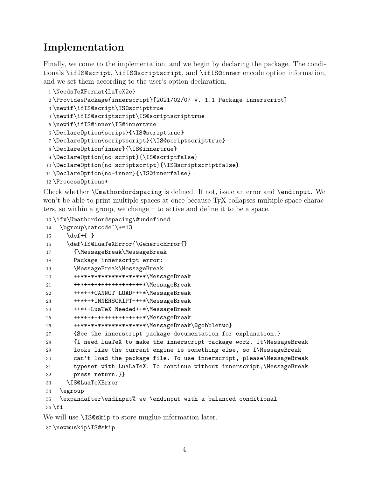## **Implementation**

Finally, we come to the implementation, and we begin by declaring the package. The conditionals \ifIS@script, \ifIS@scriptscript, and \ifIS@inner encode option information, and we set them according to the user's option declaration.

```
1 \NeedsTeXFormat{LaTeX2e}
2 \ProvidesPackage{innerscript}[2021/02/07 v. 1.1 Package innerscript]
3 \newif\ifIS@script\IS@scripttrue
4 \newif\ifIS@scriptscript\IS@scriptscripttrue
5 \newif\ifIS@inner\IS@innertrue
6 \DeclareOption{script}{\IS@scripttrue}
7 \DeclareOption{scriptscript}{\IS@scriptscripttrue}
8 \DeclareOption{inner}{\IS@innertrue}
9 \DeclareOption{no-script}{\IS@scriptfalse}
10 \ \texttt{{\texttt{De}clareOption}{} for \texttt{in}{} for \texttt{{\texttt{1S@}scriptscript}{} for \texttt{{\texttt{1S@}}}.11 \DeclareOption{no-inner}{\IS@innerfalse}
12 \ProcessOptions*
```
Check whether \Umathordordspacing is defined. If not, issue an error and \endinput. We won't be able to print multiple spaces at once because T<sub>F</sub>X collapses multiple space characters, so within a group, we change + to active and define it to be a space.

```
13 \ifx\Umathordordspacing\@undefined
```

| 14         | \bgroup\catcode`\+=13                                                 |
|------------|-----------------------------------------------------------------------|
| 15         | $\def{+}$                                                             |
| 16         | \def\IS@LuaTeXError{\GenericError{}                                   |
| 17         | {\MessageBreak\MessageBreak                                           |
| 18         | Package innerscript error:                                            |
| 19         | \MessageBreak\MessageBreak                                            |
| 20         | ++*******************\MessageBreak                                    |
| 21         | ++*+++++++++++++++++*\MessageBreak                                    |
| 22         | ++*+++CANNOT LOAD+++*\MessageBreak                                    |
| 23         | ++*+++INNERSCRIPT+++*\MessageBreak                                    |
| 24         | ++*++LuaTeX Needed++*\MessageBreak                                    |
| 25         | ++*+++++++++++++++++*\MessageBreak                                    |
| 26         | ++*******************\MessageBreak\@gobbletwo}                        |
| 27         | {See the innerscript package documentation for explanation.}          |
| 28         | {I need LuaTeX to make the innerscript package work. It\MessageBreak  |
| 29         | looks like the current engine is something else, so I\MessageBreak    |
| 30         | can't load the package file. To use innerscript, please\MessageBreak  |
| 31         | typeset with LuaLaTeX. To continue without innerscript, \MessageBreak |
| 32         | press return.}}                                                       |
| 33         | <b>\IS@LuaTeXError</b>                                                |
| 34         | \egroup                                                               |
| 35         | \expandafter\endinput% we \endinput with a balanced conditional       |
| $36$ \fi   |                                                                       |
| <b>TTT</b> |                                                                       |

We will use **\IS@skip** to store muglue information later.

```
37 \newmuskip\IS@skip
```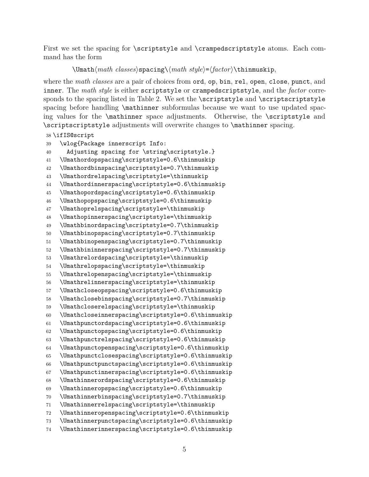First we set the spacing for \scriptstyle and \crampedscriptstyle atoms. Each command has the form

```
\Umath\langle \mathit{math classes} \ranglespacing\\langle \mathit{math style}\rangle = \langle \mathit{factor} \rangle\thinmuskip,
```
where the *math classes* are a pair of choices from ord, op, bin, rel, open, close, punct, and inner. The *math style* is either scriptstyle or crampedscriptstyle, and the *factor* corresponds to the spacing listed in Table 2. We set the \scriptstyle and \scriptscriptstyle spacing before handling  $\mathrm{subformula}$  because we want to use updated spacing values for the \mathinner space adjustments. Otherwise, the \scriptstyle and \scriptscriptstyle adjustments will overwrite changes to \mathinner spacing.

```
38 \ifIS@script
39 \wlog{Package innerscript Info:
40 Adjusting spacing for \string\scriptstyle.}
41 \Umathordopspacing\scriptstyle=0.6\thinmuskip
42 \Umathordbinspacing\scriptstyle=0.7\thinmuskip
43 \Umathordrelspacing\scriptstyle=\thinmuskip
44 \Umathordinnerspacing\scriptstyle=0.6\thinmuskip
45 \Umathopordspacing\scriptstyle=0.6\thinmuskip
46 \Umathopopspacing\scriptstyle=0.6\thinmuskip
47 \Umathoprelspacing\scriptstyle=\thinmuskip
48 \Umathopinnerspacing\scriptstyle=\thinmuskip
49 \Umathbinordspacing\scriptstyle=0.7\thinmuskip
50 \Umathbinopspacing\scriptstyle=0.7\thinmuskip
51 \Umathbinopenspacing\scriptstyle=0.7\thinmuskip
52 \Umathbininnerspacing\scriptstyle=0.7\thinmuskip
53 \Umathrelordspacing\scriptstyle=\thinmuskip
54 \Umathrelopspacing\scriptstyle=\thinmuskip
55 \Umathrelopenspacing\scriptstyle=\thinmuskip
56 \Umathrelinnerspacing\scriptstyle=\thinmuskip
57 \Umathcloseopspacing\scriptstyle=0.6\thinmuskip
58 \Umathclosebinspacing\scriptstyle=0.7\thinmuskip
59 \Umathcloserelspacing\scriptstyle=\thinmuskip
60 \Umathcloseinnerspacing\scriptstyle=0.6\thinmuskip
61 \Umathpunctordspacing\scriptstyle=0.6\thinmuskip
62 \Umathpunctopspacing\scriptstyle=0.6\thinmuskip
63 \Umathpunctrelspacing\scriptstyle=0.6\thinmuskip
64 \Umathpunctopenspacing\scriptstyle=0.6\thinmuskip
65 \Umathpunctclosespacing\scriptstyle=0.6\thinmuskip
66 \Umathpunctpunctspacing\scriptstyle=0.6\thinmuskip
67 \Umathpunctinnerspacing\scriptstyle=0.6\thinmuskip
68 \Umathinnerordspacing\scriptstyle=0.6\thinmuskip
69 \Umathinneropspacing\scriptstyle=0.6\thinmuskip
70 \Umathinnerbinspacing\scriptstyle=0.7\thinmuskip
71 \Umathinnerrelspacing\scriptstyle=\thinmuskip
72 \Umathinneropenspacing\scriptstyle=0.6\thinmuskip
73 \Umathinnerpunctspacing\scriptstyle=0.6\thinmuskip
74 \Umathinnerinnerspacing\scriptstyle=0.6\thinmuskip
```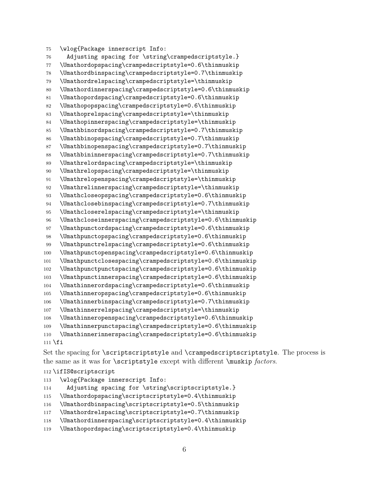```
75 \wlog{Package innerscript Info:
76 Adjusting spacing for \string\crampedscriptstyle.}
77 \Umathordopspacing\crampedscriptstyle=0.6\thinmuskip
78 \Umathordbinspacing\crampedscriptstyle=0.7\thinmuskip
79 \Umathordrelspacing\crampedscriptstyle=\thinmuskip
80 \Umathordinnerspacing\crampedscriptstyle=0.6\thinmuskip
81 \Umathopordspacing\crampedscriptstyle=0.6\thinmuskip
82 \Umathopopspacing\crampedscriptstyle=0.6\thinmuskip
83 \Umathoprelspacing\crampedscriptstyle=\thinmuskip
84 \Umathopinnerspacing\crampedscriptstyle=\thinmuskip
85 \Umathbinordspacing\crampedscriptstyle=0.7\thinmuskip
86 \Umathbinopspacing\crampedscriptstyle=0.7\thinmuskip
87 \Umathbinopenspacing\crampedscriptstyle=0.7\thinmuskip
88 \Umathbininnerspacing\crampedscriptstyle=0.7\thinmuskip
89 \Umathrelordspacing\crampedscriptstyle=\thinmuskip
90 \Umathrelopspacing\crampedscriptstyle=\thinmuskip
91 \Umathrelopenspacing\crampedscriptstyle=\thinmuskip
92 \Umathrelinnerspacing\crampedscriptstyle=\thinmuskip
93 \Umathcloseopspacing\crampedscriptstyle=0.6\thinmuskip
94 \Umathclosebinspacing\crampedscriptstyle=0.7\thinmuskip
95 \Umathcloserelspacing\crampedscriptstyle=\thinmuskip
96 \Umathcloseinnerspacing\crampedscriptstyle=0.6\thinmuskip
97 \Umathpunctordspacing\crampedscriptstyle=0.6\thinmuskip
98 \Umathpunctopspacing\crampedscriptstyle=0.6\thinmuskip
99 \Umathpunctrelspacing\crampedscriptstyle=0.6\thinmuskip
100 \Umathpunctopenspacing\crampedscriptstyle=0.6\thinmuskip
101 \Umathpunctclosespacing\crampedscriptstyle=0.6\thinmuskip
102 \Umathpunctpunctspacing\crampedscriptstyle=0.6\thinmuskip
103 \Umathpunctinnerspacing\crampedscriptstyle=0.6\thinmuskip
104 \Umathinnerordspacing\crampedscriptstyle=0.6\thinmuskip
105 \Umathinneropspacing\crampedscriptstyle=0.6\thinmuskip
106 \Umathinnerbinspacing\crampedscriptstyle=0.7\thinmuskip
107 \Umathinnerrelspacing\crampedscriptstyle=\thinmuskip
108 \Umathinneropenspacing\crampedscriptstyle=0.6\thinmuskip
109 \Umathinnerpunctspacing\crampedscriptstyle=0.6\thinmuskip
110 \Umathinnerinnerspacing\crampedscriptstyle=0.6\thinmuskip
```
\fi

Set the spacing for \scriptscriptstyle and \crampedscriptscriptstyle. The process is the same as it was for \scriptstyle except with different \muskip *factors*.

### \ifIS@scriptscript

- \wlog{Package innerscript Info:
- Adjusting spacing for \string\scriptscriptstyle.}
- \Umathordopspacing\scriptscriptstyle=0.4\thinmuskip
- \Umathordbinspacing\scriptscriptstyle=0.5\thinmuskip
- \Umathordrelspacing\scriptscriptstyle=0.7\thinmuskip
- \Umathordinnerspacing\scriptscriptstyle=0.4\thinmuskip
- \Umathopordspacing\scriptscriptstyle=0.4\thinmuskip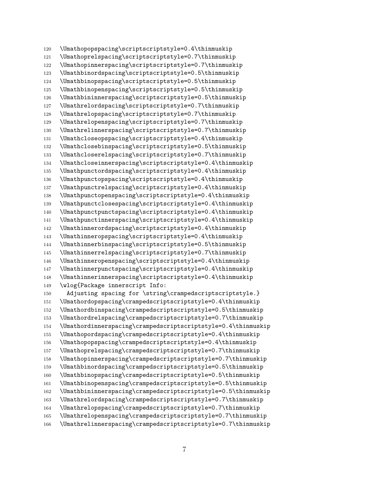```
120 \Umathopopspacing\scriptscriptstyle=0.4\thinmuskip
121 \Umathoprelspacing\scriptscriptstyle=0.7\thinmuskip
122 \Umathopinnerspacing\scriptscriptstyle=0.7\thinmuskip
123 \Umathbinordspacing\scriptscriptstyle=0.5\thinmuskip
124 \Umathbinopspacing\scriptscriptstyle=0.5\thinmuskip
125 \Umathbinopenspacing\scriptscriptstyle=0.5\thinmuskip
126 \Umathbininnerspacing\scriptscriptstyle=0.5\thinmuskip
127 \Umathrelordspacing\scriptscriptstyle=0.7\thinmuskip
128 \Umathrelopspacing\scriptscriptstyle=0.7\thinmuskip
129 \Umathrelopenspacing\scriptscriptstyle=0.7\thinmuskip
130 \Umathrelinnerspacing\scriptscriptstyle=0.7\thinmuskip
131 \Umathcloseopspacing\scriptscriptstyle=0.4\thinmuskip
132 \Umathclosebinspacing\scriptscriptstyle=0.5\thinmuskip
133 \Umathcloserelspacing\scriptscriptstyle=0.7\thinmuskip
134 \Umathcloseinnerspacing\scriptscriptstyle=0.4\thinmuskip
135 \Umathpunctordspacing\scriptscriptstyle=0.4\thinmuskip
136 \Umathpunctopspacing\scriptscriptstyle=0.4\thinmuskip
137 \Umathpunctrelspacing\scriptscriptstyle=0.4\thinmuskip
138 \Umathpunctopenspacing\scriptscriptstyle=0.4\thinmuskip
139 \Umathpunctclosespacing\scriptscriptstyle=0.4\thinmuskip
140 \Umathpunctpunctspacing\scriptscriptstyle=0.4\thinmuskip
141 \Umathpunctinnerspacing\scriptscriptstyle=0.4\thinmuskip
142 \Umathinnerordspacing\scriptscriptstyle=0.4\thinmuskip
143 \Umathinneropspacing\scriptscriptstyle=0.4\thinmuskip
144 \Umathinnerbinspacing\scriptscriptstyle=0.5\thinmuskip
145 \Umathinnerrelspacing\scriptscriptstyle=0.7\thinmuskip
146 \Umathinneropenspacing\scriptscriptstyle=0.4\thinmuskip
147 \Umathinnerpunctspacing\scriptscriptstyle=0.4\thinmuskip
148 \Umathinnerinnerspacing\scriptscriptstyle=0.4\thinmuskip
149 \wlog{Package innerscript Info:
150 Adjusting spacing for \string\crampedscriptscriptstyle.}
151 \Umathordopspacing\crampedscriptscriptstyle=0.4\thinmuskip
152 \Umathordbinspacing\crampedscriptscriptstyle=0.5\thinmuskip
153 \Umathordrelspacing\crampedscriptscriptstyle=0.7\thinmuskip
154 \Umathordinnerspacing\crampedscriptscriptstyle=0.4\thinmuskip
155 \Umathopordspacing\crampedscriptscriptstyle=0.4\thinmuskip
156 \Umathopopspacing\crampedscriptscriptstyle=0.4\thinmuskip
157 \Umathoprelspacing\crampedscriptscriptstyle=0.7\thinmuskip
158 \Umathopinnerspacing\crampedscriptscriptstyle=0.7\thinmuskip
159 \Umathbinordspacing\crampedscriptscriptstyle=0.5\thinmuskip
160 \Umathbinopspacing\crampedscriptscriptstyle=0.5\thinmuskip
161 \Umathbinopenspacing\crampedscriptscriptstyle=0.5\thinmuskip
162 \Umathbininnerspacing\crampedscriptscriptstyle=0.5\thinmuskip
163 \Umathrelordspacing\crampedscriptscriptstyle=0.7\thinmuskip
164 \Umathrelopspacing\crampedscriptscriptstyle=0.7\thinmuskip
165 \Umathrelopenspacing\crampedscriptscriptstyle=0.7\thinmuskip
166 \Umathrelinnerspacing\crampedscriptscriptstyle=0.7\thinmuskip
```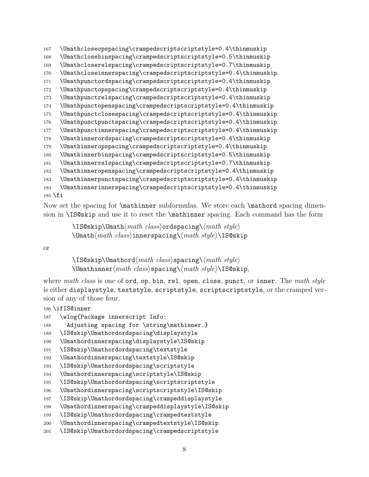```
167 \Umathcloseopspacing\crampedscriptscriptstyle=0.4\thinmuskip
168 \Umathclosebinspacing\crampedscriptscriptstyle=0.5\thinmuskip
169 \Umathcloserelspacing\crampedscriptscriptstyle=0.7\thinmuskip
170 \Umathcloseinnerspacing\crampedscriptscriptstyle=0.4\thinmuskip
171 \Umathpunctordspacing\crampedscriptscriptstyle=0.4\thinmuskip
172 \Umathpunctopspacing\crampedscriptscriptstyle=0.4\thinmuskip
173 \Umathpunctrelspacing\crampedscriptscriptstyle=0.4\thinmuskip
174 \Umathpunctopenspacing\crampedscriptscriptstyle=0.4\thinmuskip
175 \Umathpunctclosespacing\crampedscriptscriptstyle=0.4\thinmuskip
176 \Umathpunctpunctspacing\crampedscriptscriptstyle=0.4\thinmuskip
177 \Umathpunctinnerspacing\crampedscriptscriptstyle=0.4\thinmuskip
178 \Umathinnerordspacing\crampedscriptscriptstyle=0.4\thinmuskip
179 \Umathinneropspacing\crampedscriptscriptstyle=0.4\thinmuskip
180 \Umathinnerbinspacing\crampedscriptscriptstyle=0.5\thinmuskip
181 \Umathinnerrelspacing\crampedscriptscriptstyle=0.7\thinmuskip
182 \Umathinneropenspacing\crampedscriptscriptstyle=0.4\thinmuskip
183 \Umathinnerpunctspacing\crampedscriptscriptstyle=0.4\thinmuskip
184 \Umathinnerinnerspacing\crampedscriptscriptstyle=0.4\thinmuskip
```

```
185 \fi
```
\ifIS@inner

Now set the spacing for  $\mathbb{I}$  subformulas. We store each  $\mathbb{I}$  spacing dimension in \IS@skip and use it to reset the \mathinner spacing. Each command has the form

> \IS@skip\Umath $\langle math \ class \rangle$ ordspacing\ $\langle math \ style="color: red;">style \$ \Umath $\langle \mathit{math} \rangle$ innerspacing\ $\langle \mathit{math} \rangle$ \IS@skip

or

\IS@skip\Umathord\math class\spacing\\math style\ \Umathinner/math class\spacing\/math style\\IS@skip,

where *math class* is one of ord, op, bin, rel, open, close, punct, or inner. The *math style* is either displaystyle, textstyle, scriptstyle, scriptscriptstyle, or the cramped version of any of those four.

```
187 \wlog{Package innerscript Info:
188 Adjusting spacing for \string\mathinner.}
189 \IS@skip\Umathordordspacing\displaystyle
190 \Umathordinnerspacing\displaystyle\IS@skip
191 \IS@skip\Umathordordspacing\textstyle
192 \Umathordinnerspacing\textstyle\IS@skip
193 \IS@skip\Umathordordspacing\scriptstyle
```
- \Umathordinnerspacing\scriptstyle\IS@skip
- \IS@skip\Umathordordspacing\scriptscriptstyle
- \Umathordinnerspacing\scriptscriptstyle\IS@skip

```
197 \IS@skip\Umathordordspacing\crampeddisplaystyle
```
- \Umathordinnerspacing\crampeddisplaystyle\IS@skip
- \IS@skip\Umathordordspacing\crampedtextstyle

```
200 \Umathordinnerspacing\crampedtextstyle\IS@skip
```
\IS@skip\Umathordordspacing\crampedscriptstyle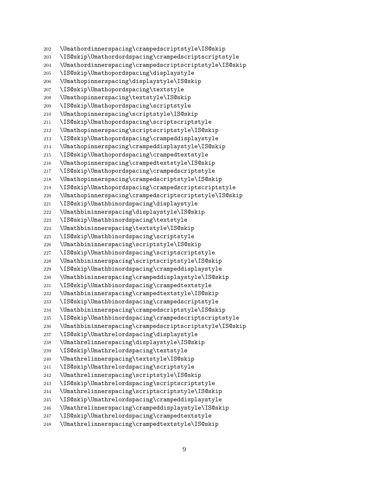\Umathordinnerspacing\crampedscriptstyle\IS@skip \IS@skip\Umathordordspacing\crampedscriptscriptstyle \Umathordinnerspacing\crampedscriptscriptstyle\IS@skip \IS@skip\Umathopordspacing\displaystyle \Umathopinnerspacing\displaystyle\IS@skip \IS@skip\Umathopordspacing\textstyle \Umathopinnerspacing\textstyle\IS@skip \IS@skip\Umathopordspacing\scriptstyle \Umathopinnerspacing\scriptstyle\IS@skip \IS@skip\Umathopordspacing\scriptscriptstyle \Umathopinnerspacing\scriptscriptstyle\IS@skip \IS@skip\Umathopordspacing\crampeddisplaystyle \Umathopinnerspacing\crampeddisplaystyle\IS@skip \IS@skip\Umathopordspacing\crampedtextstyle \Umathopinnerspacing\crampedtextstyle\IS@skip \IS@skip\Umathopordspacing\crampedscriptstyle \Umathopinnerspacing\crampedscriptstyle\IS@skip \IS@skip\Umathopordspacing\crampedscriptscriptstyle \Umathopinnerspacing\crampedscriptscriptstyle\IS@skip \IS@skip\Umathbinordspacing\displaystyle \Umathbininnerspacing\displaystyle\IS@skip \IS@skip\Umathbinordspacing\textstyle \Umathbininnerspacing\textstyle\IS@skip \IS@skip\Umathbinordspacing\scriptstyle \Umathbininnerspacing\scriptstyle\IS@skip \IS@skip\Umathbinordspacing\scriptscriptstyle \Umathbininnerspacing\scriptscriptstyle\IS@skip \IS@skip\Umathbinordspacing\crampeddisplaystyle \Umathbininnerspacing\crampeddisplaystyle\IS@skip \IS@skip\Umathbinordspacing\crampedtextstyle \Umathbininnerspacing\crampedtextstyle\IS@skip \IS@skip\Umathbinordspacing\crampedscriptstyle \Umathbininnerspacing\crampedscriptstyle\IS@skip \IS@skip\Umathbinordspacing\crampedscriptscriptstyle \Umathbininnerspacing\crampedscriptscriptstyle\IS@skip \IS@skip\Umathrelordspacing\displaystyle \Umathrelinnerspacing\displaystyle\IS@skip \IS@skip\Umathrelordspacing\textstyle \Umathrelinnerspacing\textstyle\IS@skip \IS@skip\Umathrelordspacing\scriptstyle \Umathrelinnerspacing\scriptstyle\IS@skip \IS@skip\Umathrelordspacing\scriptscriptstyle \Umathrelinnerspacing\scriptscriptstyle\IS@skip \IS@skip\Umathrelordspacing\crampeddisplaystyle \Umathrelinnerspacing\crampeddisplaystyle\IS@skip \IS@skip\Umathrelordspacing\crampedtextstyle \Umathrelinnerspacing\crampedtextstyle\IS@skip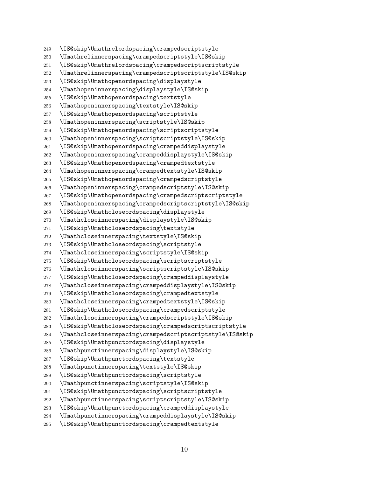\IS@skip\Umathrelordspacing\crampedscriptstyle \Umathrelinnerspacing\crampedscriptstyle\IS@skip \IS@skip\Umathrelordspacing\crampedscriptscriptstyle \Umathrelinnerspacing\crampedscriptscriptstyle\IS@skip \IS@skip\Umathopenordspacing\displaystyle \Umathopeninnerspacing\displaystyle\IS@skip \IS@skip\Umathopenordspacing\textstyle \Umathopeninnerspacing\textstyle\IS@skip \IS@skip\Umathopenordspacing\scriptstyle \Umathopeninnerspacing\scriptstyle\IS@skip \IS@skip\Umathopenordspacing\scriptscriptstyle \Umathopeninnerspacing\scriptscriptstyle\IS@skip \IS@skip\Umathopenordspacing\crampeddisplaystyle \Umathopeninnerspacing\crampeddisplaystyle\IS@skip \IS@skip\Umathopenordspacing\crampedtextstyle \Umathopeninnerspacing\crampedtextstyle\IS@skip \IS@skip\Umathopenordspacing\crampedscriptstyle \Umathopeninnerspacing\crampedscriptstyle\IS@skip \IS@skip\Umathopenordspacing\crampedscriptscriptstyle \Umathopeninnerspacing\crampedscriptscriptstyle\IS@skip \IS@skip\Umathcloseordspacing\displaystyle \Umathcloseinnerspacing\displaystyle\IS@skip \IS@skip\Umathcloseordspacing\textstyle \Umathcloseinnerspacing\textstyle\IS@skip \IS@skip\Umathcloseordspacing\scriptstyle \Umathcloseinnerspacing\scriptstyle\IS@skip \IS@skip\Umathcloseordspacing\scriptscriptstyle \Umathcloseinnerspacing\scriptscriptstyle\IS@skip \IS@skip\Umathcloseordspacing\crampeddisplaystyle \Umathcloseinnerspacing\crampeddisplaystyle\IS@skip \IS@skip\Umathcloseordspacing\crampedtextstyle \Umathcloseinnerspacing\crampedtextstyle\IS@skip \IS@skip\Umathcloseordspacing\crampedscriptstyle \Umathcloseinnerspacing\crampedscriptstyle\IS@skip \IS@skip\Umathcloseordspacing\crampedscriptscriptstyle \Umathcloseinnerspacing\crampedscriptscriptstyle\IS@skip \IS@skip\Umathpunctordspacing\displaystyle \Umathpunctinnerspacing\displaystyle\IS@skip \IS@skip\Umathpunctordspacing\textstyle \Umathpunctinnerspacing\textstyle\IS@skip \IS@skip\Umathpunctordspacing\scriptstyle \Umathpunctinnerspacing\scriptstyle\IS@skip \IS@skip\Umathpunctordspacing\scriptscriptstyle \Umathpunctinnerspacing\scriptscriptstyle\IS@skip \IS@skip\Umathpunctordspacing\crampeddisplaystyle \Umathpunctinnerspacing\crampeddisplaystyle\IS@skip \IS@skip\Umathpunctordspacing\crampedtextstyle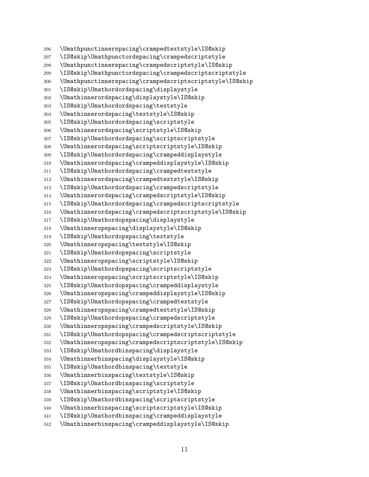\Umathpunctinnerspacing\crampedtextstyle\IS@skip \IS@skip\Umathpunctordspacing\crampedscriptstyle \Umathpunctinnerspacing\crampedscriptstyle\IS@skip \IS@skip\Umathpunctordspacing\crampedscriptscriptstyle \Umathpunctinnerspacing\crampedscriptscriptstyle\IS@skip \IS@skip\Umathordordspacing\displaystyle \Umathinnerordspacing\displaystyle\IS@skip \IS@skip\Umathordordspacing\textstyle \Umathinnerordspacing\textstyle\IS@skip \IS@skip\Umathordordspacing\scriptstyle \Umathinnerordspacing\scriptstyle\IS@skip \IS@skip\Umathordordspacing\scriptscriptstyle \Umathinnerordspacing\scriptscriptstyle\IS@skip \IS@skip\Umathordordspacing\crampeddisplaystyle \Umathinnerordspacing\crampeddisplaystyle\IS@skip \IS@skip\Umathordordspacing\crampedtextstyle \Umathinnerordspacing\crampedtextstyle\IS@skip \IS@skip\Umathordordspacing\crampedscriptstyle \Umathinnerordspacing\crampedscriptstyle\IS@skip \IS@skip\Umathordordspacing\crampedscriptscriptstyle \Umathinnerordspacing\crampedscriptscriptstyle\IS@skip \IS@skip\Umathordopspacing\displaystyle \Umathinneropspacing\displaystyle\IS@skip \IS@skip\Umathordopspacing\textstyle \Umathinneropspacing\textstyle\IS@skip \IS@skip\Umathordopspacing\scriptstyle \Umathinneropspacing\scriptstyle\IS@skip \IS@skip\Umathordopspacing\scriptscriptstyle \Umathinneropspacing\scriptscriptstyle\IS@skip \IS@skip\Umathordopspacing\crampeddisplaystyle \Umathinneropspacing\crampeddisplaystyle\IS@skip \IS@skip\Umathordopspacing\crampedtextstyle \Umathinneropspacing\crampedtextstyle\IS@skip \IS@skip\Umathordopspacing\crampedscriptstyle \Umathinneropspacing\crampedscriptstyle\IS@skip \IS@skip\Umathordopspacing\crampedscriptscriptstyle \Umathinneropspacing\crampedscriptscriptstyle\IS@skip \IS@skip\Umathordbinspacing\displaystyle \Umathinnerbinspacing\displaystyle\IS@skip \IS@skip\Umathordbinspacing\textstyle \Umathinnerbinspacing\textstyle\IS@skip \IS@skip\Umathordbinspacing\scriptstyle \Umathinnerbinspacing\scriptstyle\IS@skip \IS@skip\Umathordbinspacing\scriptscriptstyle \Umathinnerbinspacing\scriptscriptstyle\IS@skip \IS@skip\Umathordbinspacing\crampeddisplaystyle \Umathinnerbinspacing\crampeddisplaystyle\IS@skip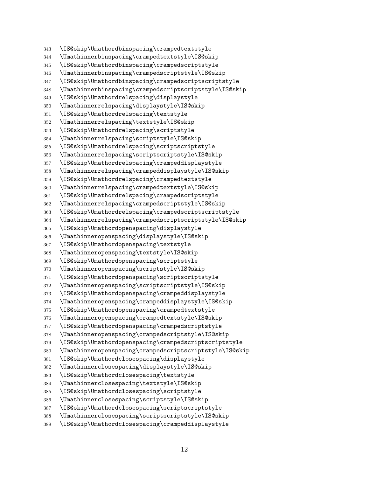\IS@skip\Umathordbinspacing\crampedtextstyle \Umathinnerbinspacing\crampedtextstyle\IS@skip \IS@skip\Umathordbinspacing\crampedscriptstyle \Umathinnerbinspacing\crampedscriptstyle\IS@skip \IS@skip\Umathordbinspacing\crampedscriptscriptstyle \Umathinnerbinspacing\crampedscriptscriptstyle\IS@skip \IS@skip\Umathordrelspacing\displaystyle \Umathinnerrelspacing\displaystyle\IS@skip \IS@skip\Umathordrelspacing\textstyle \Umathinnerrelspacing\textstyle\IS@skip \IS@skip\Umathordrelspacing\scriptstyle \Umathinnerrelspacing\scriptstyle\IS@skip \IS@skip\Umathordrelspacing\scriptscriptstyle \Umathinnerrelspacing\scriptscriptstyle\IS@skip \IS@skip\Umathordrelspacing\crampeddisplaystyle \Umathinnerrelspacing\crampeddisplaystyle\IS@skip \IS@skip\Umathordrelspacing\crampedtextstyle \Umathinnerrelspacing\crampedtextstyle\IS@skip \IS@skip\Umathordrelspacing\crampedscriptstyle \Umathinnerrelspacing\crampedscriptstyle\IS@skip \IS@skip\Umathordrelspacing\crampedscriptscriptstyle \Umathinnerrelspacing\crampedscriptscriptstyle\IS@skip \IS@skip\Umathordopenspacing\displaystyle \Umathinneropenspacing\displaystyle\IS@skip \IS@skip\Umathordopenspacing\textstyle \Umathinneropenspacing\textstyle\IS@skip \IS@skip\Umathordopenspacing\scriptstyle \Umathinneropenspacing\scriptstyle\IS@skip \IS@skip\Umathordopenspacing\scriptscriptstyle \Umathinneropenspacing\scriptscriptstyle\IS@skip \IS@skip\Umathordopenspacing\crampeddisplaystyle \Umathinneropenspacing\crampeddisplaystyle\IS@skip \IS@skip\Umathordopenspacing\crampedtextstyle \Umathinneropenspacing\crampedtextstyle\IS@skip \IS@skip\Umathordopenspacing\crampedscriptstyle \Umathinneropenspacing\crampedscriptstyle\IS@skip \IS@skip\Umathordopenspacing\crampedscriptscriptstyle \Umathinneropenspacing\crampedscriptscriptstyle\IS@skip \IS@skip\Umathordclosespacing\displaystyle \Umathinnerclosespacing\displaystyle\IS@skip \IS@skip\Umathordclosespacing\textstyle \Umathinnerclosespacing\textstyle\IS@skip \IS@skip\Umathordclosespacing\scriptstyle \Umathinnerclosespacing\scriptstyle\IS@skip \IS@skip\Umathordclosespacing\scriptscriptstyle \Umathinnerclosespacing\scriptscriptstyle\IS@skip \IS@skip\Umathordclosespacing\crampeddisplaystyle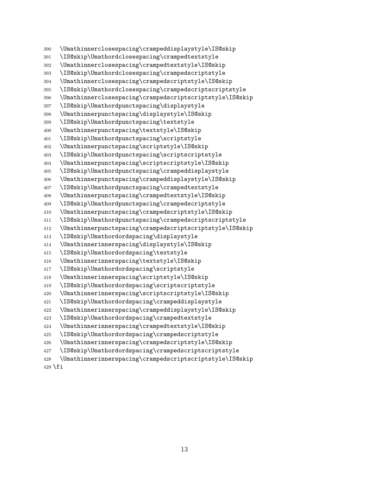\Umathinnerclosespacing\crampeddisplaystyle\IS@skip \IS@skip\Umathordclosespacing\crampedtextstyle \Umathinnerclosespacing\crampedtextstyle\IS@skip \IS@skip\Umathordclosespacing\crampedscriptstyle \Umathinnerclosespacing\crampedscriptstyle\IS@skip \IS@skip\Umathordclosespacing\crampedscriptscriptstyle \Umathinnerclosespacing\crampedscriptscriptstyle\IS@skip \IS@skip\Umathordpunctspacing\displaystyle \Umathinnerpunctspacing\displaystyle\IS@skip \IS@skip\Umathordpunctspacing\textstyle \Umathinnerpunctspacing\textstyle\IS@skip \IS@skip\Umathordpunctspacing\scriptstyle \Umathinnerpunctspacing\scriptstyle\IS@skip \IS@skip\Umathordpunctspacing\scriptscriptstyle \Umathinnerpunctspacing\scriptscriptstyle\IS@skip \IS@skip\Umathordpunctspacing\crampeddisplaystyle \Umathinnerpunctspacing\crampeddisplaystyle\IS@skip \IS@skip\Umathordpunctspacing\crampedtextstyle \Umathinnerpunctspacing\crampedtextstyle\IS@skip \IS@skip\Umathordpunctspacing\crampedscriptstyle \Umathinnerpunctspacing\crampedscriptstyle\IS@skip \IS@skip\Umathordpunctspacing\crampedscriptscriptstyle \Umathinnerpunctspacing\crampedscriptscriptstyle\IS@skip \IS@skip\Umathordordspacing\displaystyle \Umathinnerinnerspacing\displaystyle\IS@skip \IS@skip\Umathordordspacing\textstyle \Umathinnerinnerspacing\textstyle\IS@skip \IS@skip\Umathordordspacing\scriptstyle \Umathinnerinnerspacing\scriptstyle\IS@skip \IS@skip\Umathordordspacing\scriptscriptstyle \Umathinnerinnerspacing\scriptscriptstyle\IS@skip \IS@skip\Umathordordspacing\crampeddisplaystyle \Umathinnerinnerspacing\crampeddisplaystyle\IS@skip \IS@skip\Umathordordspacing\crampedtextstyle \Umathinnerinnerspacing\crampedtextstyle\IS@skip \IS@skip\Umathordordspacing\crampedscriptstyle \Umathinnerinnerspacing\crampedscriptstyle\IS@skip \IS@skip\Umathordordspacing\crampedscriptscriptstyle \Umathinnerinnerspacing\crampedscriptscriptstyle\IS@skip

429  $\ifmmode \big\vert$  429  $\ifmmode \big\vert$